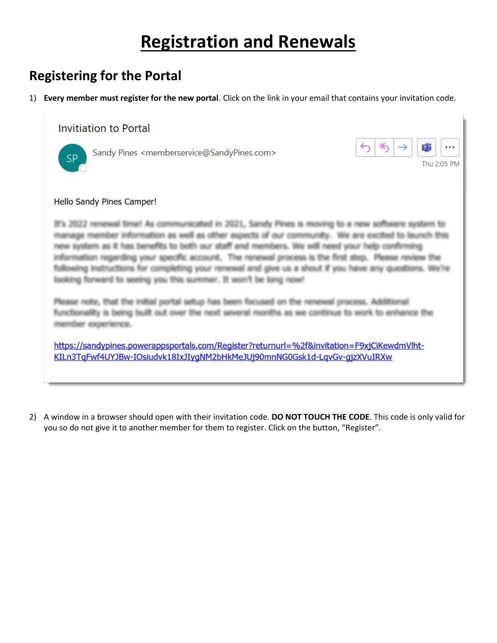# **Registration and Renewals**

# **Registering for the Portal**

1) **Every member must register for the new portal**. Click on the link in your email that contains your invitation code.

### **Invitiation to Portal**



Sandy Pines <memberservice@SandyPines.com>



### Hello Sandy Pines Camper!

It's 2022 renewal time! As communicated in 2021, Sandy Pines is moving to a new software system to manage member information as well as other aspects of our community. We are excited to launch this new system as it has benefits to both our staff and members. We will need your help confirming information regarding your specific account. The renewal process is the first step. Please review the following instructions for completing your renewal and give us a shout if you have any questions. We're looking forward to seeing you this summer. It won't be long now!

Please note, that the initial portal setup has been focused on the renewal process. Additional functionality is being built out over the next several months as we continue to work to enhance the member experience.

https://sandypines.powerappsportals.com/Register?returnurl=%2f&invitation=F9xjCiKewdmVlht-KILn3TqFwf4UYJBw-IOsiudvk18IxJIyqNM2bHkMeJUj90mnNG0Gsk1d-LqvGv-qjzXVuIRXw

2) A window in a browser should open with their invitation code. **DO NOT TOUCH THE CODE**. This code is only valid for you so do not give it to another member for them to register. Click on the button, "Register".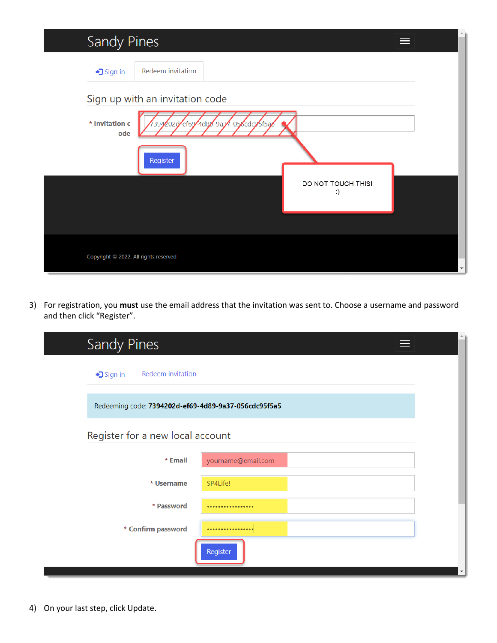| Sandy Pines                            | ⋿                                   |                      |
|----------------------------------------|-------------------------------------|----------------------|
| → Sign in                              | Redeem invitation                   |                      |
|                                        | Sign up with an invitation code     |                      |
| * Invitation c<br>ode                  | 394202d-ef69-4d88-9a31-056cdc95f5a2 |                      |
|                                        | Register                            |                      |
|                                        | DO NOT TOUCH THIS!<br>:)            |                      |
|                                        |                                     |                      |
| Copyright © 2022. All rights reserved. |                                     | $\blacktriangledown$ |

3) For registration, you **must** use the email address that the invitation was sent to. Choose a username and password and then click "Register".

| Sandy Pines                                          | ᄐ                  | A.                       |
|------------------------------------------------------|--------------------|--------------------------|
| Redeem invitation<br>→ Sign in                       |                    |                          |
| Redeeming code: 7394202d-ef69-4d89-9a37-056cdc95f5a5 |                    |                          |
| Register for a new local account                     |                    |                          |
| * Email                                              | yourname@email.com |                          |
| * Username                                           | SP4Life!           |                          |
| * Password                                           |                    |                          |
| * Confirm password                                   |                    |                          |
|                                                      | Register           | $\overline{\phantom{a}}$ |

L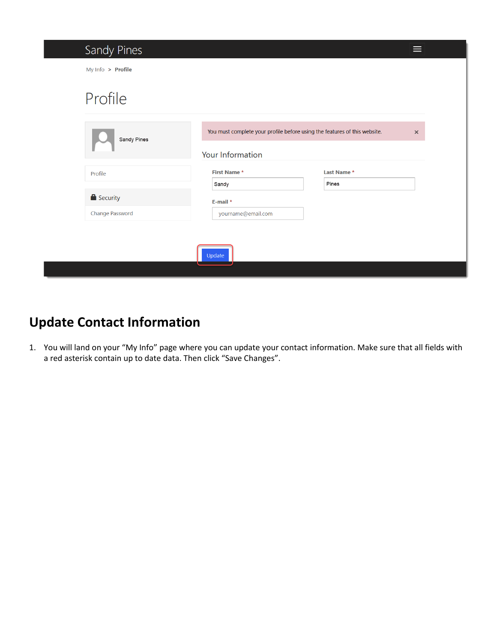| Sandy Pines       |                                                                                               |                    | ⋿        |
|-------------------|-----------------------------------------------------------------------------------------------|--------------------|----------|
| My Info > Profile |                                                                                               |                    |          |
| Profile           |                                                                                               |                    |          |
| Sandy Pines       | You must complete your profile before using the features of this website.<br>Your Information |                    | $\times$ |
| Profile           | <b>First Name*</b>                                                                            | <b>Last Name *</b> |          |
|                   | Sandy                                                                                         | Pines              |          |
| Security          | E-mail *                                                                                      |                    |          |
| Change Password   | yourname@email.com                                                                            |                    |          |
|                   |                                                                                               |                    |          |
|                   | Update                                                                                        |                    |          |
|                   |                                                                                               |                    |          |

# **Update Contact Information**

1. You will land on your "My Info" page where you can update your contact information. Make sure that all fields with a red asterisk contain up to date data. Then click "Save Changes".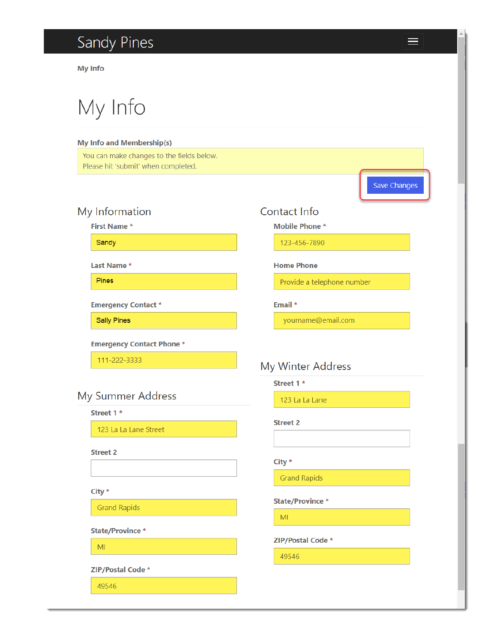# Sandy Pines

**My Info** 

My Info

### **My Info and Membership(s)**

You can make changes to the fields below. Please hit 'submit' when completed.

## My Information

**First Name\*** 

Sandy

Last Name\*

Pines

**Emergency Contact \*** 

**Sally Pines** 

**Emergency Contact Phone \*** 

111-222-3333

## My Summer Address

Street 1 \*

123 La La Lane Street

**Street 2** 

### $City *$

**Grand Rapids** 

**State/Province \*** 

MI

ZIP/Postal Code \*

49546

## Contact Info

**Mobile Phone \*** 

123-456-7890

### **Home Phone**

Provide a telephone number

Email \*

yourname@email.com

## My Winter Address

Street 1 \*

123 La La Lane

#### **Street 2**

### City  $*$

**Grand Rapids** 

**State/Province \*** 

 $M<sub>l</sub>$ 

ZIP/Postal Code \*

49546

 $\equiv$ 

**Save Changes**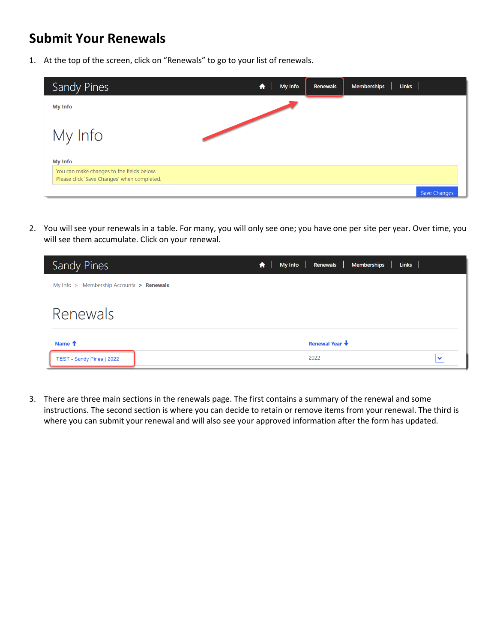## **Submit Your Renewals**

1. At the top of the screen, click on "Renewals" to go to your list of renewals.

| Sandy Pines                                                                              | My Info<br>A | Renewals | <b>Links</b><br><b>Memberships</b> |
|------------------------------------------------------------------------------------------|--------------|----------|------------------------------------|
| <b>My Info</b>                                                                           |              |          |                                    |
| My Info                                                                                  |              |          |                                    |
| <b>My Info</b>                                                                           |              |          |                                    |
| You can make changes to the fields below.<br>Please click 'Save Changes' when completed. |              |          |                                    |
|                                                                                          |              |          | <b>Save Changes</b>                |

2. You will see your renewals in a table. For many, you will only see one; you have one per site per year. Over time, you will see them accumulate. Click on your renewal.

| Sandy Pines                              | Renewals  <br><b>Links</b><br><b>My Info</b><br><b>Memberships</b><br>$\bullet$ |              |
|------------------------------------------|---------------------------------------------------------------------------------|--------------|
| My Info > Membership Accounts > Renewals |                                                                                 |              |
| Renewals                                 |                                                                                 |              |
| Name <sup>+</sup>                        | <b>Renewal Year ↓</b>                                                           |              |
| TEST - Sandy Pines   2022                | 2022                                                                            | $\checkmark$ |

3. There are three main sections in the renewals page. The first contains a summary of the renewal and some instructions. The second section is where you can decide to retain or remove items from your renewal. The third is where you can submit your renewal and will also see your approved information after the form has updated.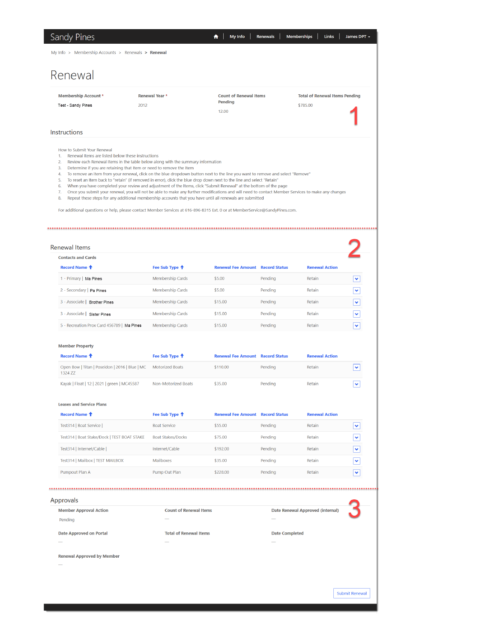## Renewal

| <b>Membership Account *</b> |
|-----------------------------|
| Test - Sandy Pines          |

**Count of Renewal Items** Pending  $12.00$ 

**Total of Renewal Items Pending** \$785.00

Submit Renewal

#### Instructions

How to Submit Your Renewal

- $1.$ Renewal Items are listed below these instructions
- Review each Renewal Items in the table below along with the summary information  $\overline{2}$ .
- Determine if you are retaining that Item or need to remove the Item  $\overline{3}$ .

Renewal Year \*

2012

- To remove an item from your renewal, click on the blue dropdown button next to the line you want to remove and select "Remove"  $\overline{4}$ .
- $\overline{5}$ . To reset an Item back to "retain" (if removed in error), click the blue drop down next to the line and select "Retain"
- When you have completed your review and adjustment of the Items, click "Submit Renewal" at the bottom of the page  $6.$
- 7. Once you submit your renewal, you will not be able to make any further modifications and will need to contact Member Services to make any changes<br>8. Repeat these steps for any additional membership accounts that you hav

For additional questions or help, please contact Member Services at 616-896-8315 Ext. 0 or at MemberService@SandyPines.com.

#### 

| Renewal Items                              |                           |                                         |         |                       |              |
|--------------------------------------------|---------------------------|-----------------------------------------|---------|-----------------------|--------------|
| <b>Contacts and Cards</b>                  |                           |                                         |         |                       |              |
| Record Name <sup>+</sup>                   | Fee Sub Type <sup>+</sup> | <b>Renewal Fee Amount Record Status</b> |         | <b>Renewal Action</b> |              |
| 1 - Primary   Ma Pines                     | <b>Membership Cards</b>   | \$5.00                                  | Pendina | Retain                | v            |
| 2 - Secondary   Pa Pines                   | Membership Cards          | \$5.00                                  | Pending | Retain                | $\checkmark$ |
| 3 - Associate   Brother Pines              | <b>Membership Cards</b>   | \$15.00                                 | Pendina | Retain                | $\checkmark$ |
| 3 - Associate   Sister Pines               | <b>Membership Cards</b>   | \$15.00                                 | Pendina | Retain                | $\checkmark$ |
| 5 - Recreation Prox Card 456789   Ma Pines | <b>Membership Cards</b>   | \$15.00                                 | Pending | Retain                | $\checkmark$ |

#### **Member Property**

| Record Name <sup>T</sup>                                  | Fee Sub Type <sup>1</sup> | <b>Renewal Fee Amount Record Status</b> |         | <b>Renewal Action</b> |                         |
|-----------------------------------------------------------|---------------------------|-----------------------------------------|---------|-----------------------|-------------------------|
| Open Bow   Titan   Poseidon   2016   Blue   MC<br>1324 ZZ | <b>Motorized Boats</b>    | \$110,00                                | Pendina | Retain                | $\checkmark$            |
| Kayak   Float   12   2021   green   MC45587               | Non-Motorized Boats       | \$35.00                                 | Pendina | Retain                | $\overline{\textbf{v}}$ |

#### **Leases and Service Plans**

| Record Name <sup>+</sup>                    | Fee Sub Type <sup>1</sup> | <b>Renewal Fee Amount Record Status</b> |         | <b>Renewal Action</b> |              |
|---------------------------------------------|---------------------------|-----------------------------------------|---------|-----------------------|--------------|
| Test314   Boat Service                      | <b>Boat Service</b>       | \$55.00                                 | Pending | Retain                | $\checkmark$ |
| Test314   Boat Stake/Dock   TEST BOAT STAKE | <b>Boat Stakes/Docks</b>  | \$75.00                                 | Pending | Retain                | ×            |
| Test314   Internet/Cable                    | Internet/Cable            | \$192.00                                | Pendina | Retain                | $\checkmark$ |
| Test314   Mailbox   TEST MAILBOX            | <b>Mailboxes</b>          | \$35.00                                 | Pendina | Retain                | $\checkmark$ |
| Pumpout Plan A                              | Pump Out Plan             | \$228.00                                | Pending | Retain                | $\checkmark$ |

#### 

| Approvals                      |                               |                                         |
|--------------------------------|-------------------------------|-----------------------------------------|
| <b>Member Approval Action</b>  | <b>Count of Renewal Items</b> | <b>Date Renewal Approved (internal)</b> |
| Pending                        | $\overline{\phantom{a}}$      | $\overline{\phantom{a}}$                |
| <b>Date Approved on Portal</b> | <b>Total of Renewal Items</b> | <b>Date Completed</b>                   |
| $\overline{\phantom{a}}$       | $\overline{\phantom{a}}$      | $\overline{\phantom{a}}$                |

**Renewal Approved by Member**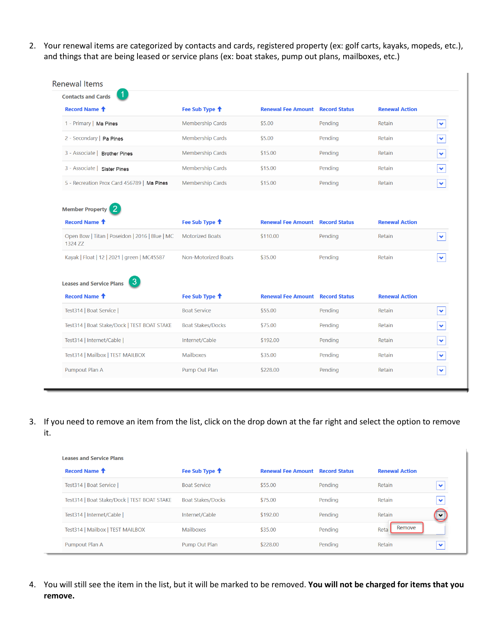2. Your renewal items are categorized by contacts and cards, registered property (ex: golf carts, kayaks, mopeds, etc.), and things that are being leased or service plans (ex: boat stakes, pump out plans, mailboxes, etc.)

| <b>Renewal Items</b>                                      |                           |                                         |         |                       |              |
|-----------------------------------------------------------|---------------------------|-----------------------------------------|---------|-----------------------|--------------|
| 1.<br><b>Contacts and Cards</b>                           |                           |                                         |         |                       |              |
| Record Name <sup>+</sup>                                  | Fee Sub Type <sup>+</sup> | <b>Renewal Fee Amount Record Status</b> |         | <b>Renewal Action</b> |              |
| 1 - Primary   Ma Pines                                    | <b>Membership Cards</b>   | \$5.00                                  | Pending | Retain                | ×.           |
| 2 - Secondary   Pa Pines                                  | Membership Cards          | \$5.00                                  | Pending | Retain                | Y            |
| 3 - Associate   Brother Pines                             | Membership Cards          | \$15.00                                 | Pending | Retain                | $\checkmark$ |
| 3 - Associate   Sister Pines                              | <b>Membership Cards</b>   | \$15.00                                 | Pending | <b>Retain</b>         | Ÿ            |
| 5 - Recreation Prox Card 456789   Ma Pines                | Membership Cards          | \$15.00                                 | Pending | Retain                | Ÿ            |
|                                                           |                           |                                         |         |                       |              |
| -2<br><b>Member Property</b>                              |                           |                                         |         |                       |              |
| Record Name <sup>+</sup>                                  | Fee Sub Type <sup>+</sup> | <b>Renewal Fee Amount Record Status</b> |         | <b>Renewal Action</b> |              |
| Open Bow   Titan   Poseidon   2016   Blue   MC<br>1324 ZZ | <b>Motorized Boats</b>    | \$110.00                                | Pending | Retain                | v            |
| Kayak   Float   12   2021   green   MC45587               | Non-Motorized Boats       | \$35.00                                 | Pending | Retain                | $\checkmark$ |
|                                                           |                           |                                         |         |                       |              |
| 3<br><b>Leases and Service Plans</b>                      |                           |                                         |         |                       |              |
| Record Name <sup>+</sup>                                  | Fee Sub Type <sup>1</sup> | <b>Renewal Fee Amount Record Status</b> |         | <b>Renewal Action</b> |              |
| Test314   Boat Service                                    | <b>Boat Service</b>       | \$55.00                                 | Pending | Retain                | $\checkmark$ |
| Test314   Boat Stake/Dock   TEST BOAT STAKE               | <b>Boat Stakes/Docks</b>  | \$75.00                                 | Pending | Retain                | v            |
| Test314   Internet/Cable                                  | Internet/Cable            | \$192.00                                | Pending | Retain                | $\checkmark$ |
| Test314   Mailbox   TEST MAILBOX                          | <b>Mailboxes</b>          | \$35.00                                 | Pending | Retain                | $\checkmark$ |
| Pumpout Plan A                                            | Pump Out Plan             | \$228.00                                | Pending | Retain                | Ÿ            |
|                                                           |                           |                                         |         |                       |              |

3. If you need to remove an item from the list, click on the drop down at the far right and select the option to remove it.

| <b>Leases and Service Plans</b>             |                           |                                         |         |                       |              |
|---------------------------------------------|---------------------------|-----------------------------------------|---------|-----------------------|--------------|
| Record Name <sup>+</sup>                    | Fee Sub Type <sup>+</sup> | <b>Renewal Fee Amount Record Status</b> |         | <b>Renewal Action</b> |              |
| Test314   Boat Service                      | <b>Boat Service</b>       | \$55.00                                 | Pendina | Retain                | ❤            |
| Test314   Boat Stake/Dock   TEST BOAT STAKE | <b>Boat Stakes/Docks</b>  | \$75.00                                 | Pending | Retain                | v            |
| Test314   Internet/Cable                    | Internet/Cable            | \$192.00                                | Pending | Retain                | $\checkmark$ |
| Test314   Mailbox   TEST MAILBOX            | <b>Mailboxes</b>          | \$35.00                                 | Pending | Remove<br>Reta        |              |
| Pumpout Plan A                              | Pump Out Plan             | \$228.00                                | Pending | Retain                | ❤            |

4. You will still see the item in the list, but it will be marked to be removed. **You will not be charged for items that you remove.**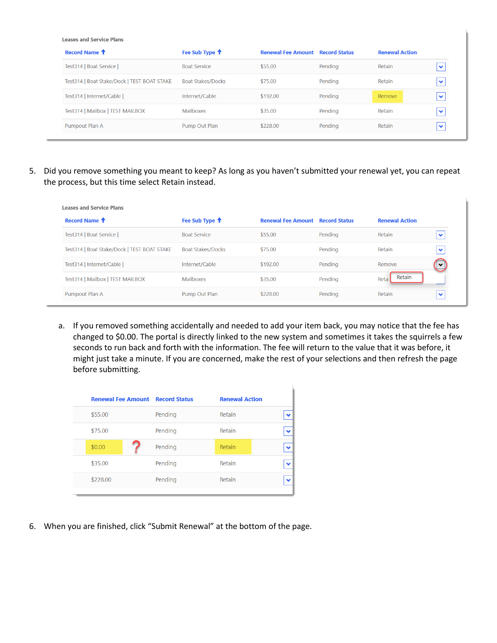**Leases and Service Plans** 

| Fee Sub Type <sup>1</sup> |          |         | <b>Renewal Action</b>                   |              |
|---------------------------|----------|---------|-----------------------------------------|--------------|
| <b>Boat Service</b>       | \$55.00  | Pending | Retain                                  | $\checkmark$ |
| <b>Boat Stakes/Docks</b>  | \$75.00  | Pending | Retain                                  | $\checkmark$ |
| Internet/Cable            | \$192.00 | Pending | Remove                                  | ❤            |
| Mailboxes                 | \$35.00  | Pending | Retain                                  | $\checkmark$ |
| Pump Out Plan             | \$228.00 | Pending | Retain                                  | $\checkmark$ |
|                           |          |         | <b>Renewal Fee Amount Record Status</b> |              |

5. Did you remove something you meant to keep? As long as you haven't submitted your renewal yet, you can repeat the process, but this time select Retain instead.

| <b>Leases and Service Plans</b>             |                           |                           |                      |                       |              |
|---------------------------------------------|---------------------------|---------------------------|----------------------|-----------------------|--------------|
| Record Name <sup>+</sup>                    | Fee Sub Type <sup>+</sup> | <b>Renewal Fee Amount</b> | <b>Record Status</b> | <b>Renewal Action</b> |              |
| Test314   Boat Service                      | <b>Boat Service</b>       | \$55.00                   | Pending              | Retain                | $\checkmark$ |
| Test314   Boat Stake/Dock   TEST BOAT STAKE | <b>Boat Stakes/Docks</b>  | \$75.00                   | Pending              | Retain                | $\checkmark$ |
| Test314   Internet/Cable                    | Internet/Cable            | \$192.00                  | Pending              | Remove                | $\checkmark$ |
| Test314   Mailbox   TEST MAILBOX            | <b>Mailboxes</b>          | \$35.00                   | Pending              | Retain<br>Reta        |              |
| Pumpout Plan A                              | Pump Out Plan             | \$228,00                  | Pending              | Retain                | $\checkmark$ |

a. If you removed something accidentally and needed to add your item back, you may notice that the fee has changed to \$0.00. The portal is directly linked to the new system and sometimes it takes the squirrels a few seconds to run back and forth with the information. The fee will return to the value that it was before, it might just take a minute. If you are concerned, make the rest of your selections and then refresh the page before submitting.

|          | <b>Renewal Fee Amount Record Status</b> |         | <b>Renewal Action</b> |  |
|----------|-----------------------------------------|---------|-----------------------|--|
| \$55.00  |                                         | Pending | Retain                |  |
| \$75.00  |                                         | Pending | Retain                |  |
| \$0.00   |                                         | Pending | Retain                |  |
| \$35.00  |                                         | Pending | <b>Retain</b>         |  |
| \$228.00 |                                         | Pending | Retain                |  |

6. When you are finished, click "Submit Renewal" at the bottom of the page.